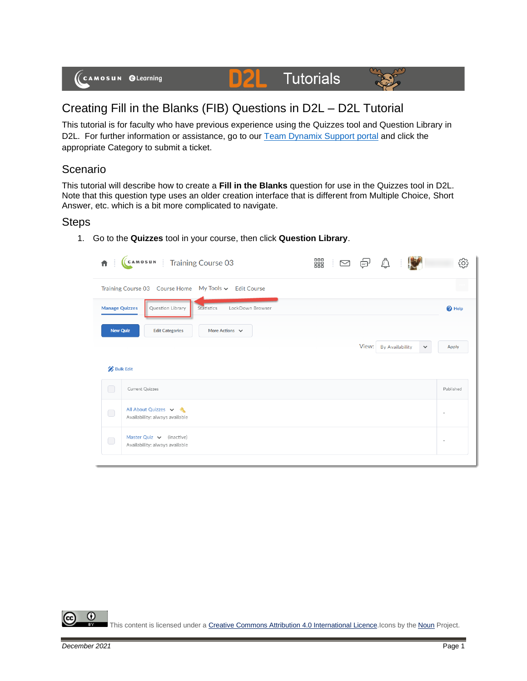

## Creating Fill in the Blanks (FIB) Questions in D2L – D2L Tutorial

This tutorial is for faculty who have previous experience using the Quizzes tool and Question Library in D2L. For further information or assistance, go to our [Team Dynamix Support portal](https://camosun.teamdynamix.com/TDClient/67/Portal/Requests/ServiceCatalog?CategoryID=523) and click the appropriate Category to submit a ticket.

## Scenario

This tutorial will describe how to create a **Fill in the Blanks** question for use in the Quizzes tool in D2L. Note that this question type uses an older creation interface that is different from Multiple Choice, Short Answer, etc. which is a bit more complicated to navigate.

## **Steps**

1. Go to the **Quizzes** tool in your course, then click **Question Library**.

| 青                     | CAMOSUN Training Course 03                                      | 器<br>÷<br>$\boxtimes$ |       | ₫                      |              | දුදි                     |
|-----------------------|-----------------------------------------------------------------|-----------------------|-------|------------------------|--------------|--------------------------|
|                       | Training Course 03 Course Home My Tools v Edit Course           |                       |       |                        |              |                          |
| <b>Manage Quizzes</b> | Question Library<br>LockDown Browser<br>Statistics              |                       |       |                        |              | <sup>O</sup> Help        |
| <b>New Quiz</b>       | More Actions $\vee$<br><b>Edit Categories</b>                   |                       |       |                        |              |                          |
|                       |                                                                 |                       | View: | <b>By Availability</b> | $\checkmark$ | Apply                    |
| <b>Bulk Edit</b>      |                                                                 |                       |       |                        |              |                          |
| $\bigcirc$            | <b>Current Quizzes</b>                                          |                       |       |                        |              | Published                |
| $\bigcirc$            | All About Quizzes v &<br>Availability: always available         |                       |       |                        |              | ٠                        |
| $\bigcirc$            | Master Quiz $\vee$ (inactive)<br>Availability: always available |                       |       |                        |              | $\overline{\phantom{a}}$ |
|                       |                                                                 |                       |       |                        |              |                          |

⋒ This content is licensed under [a Creative Commons Attribution 4.0 International Licence.I](https://creativecommons.org/licenses/by/4.0/)cons by the [Noun](https://creativecommons.org/website-icons/) Project.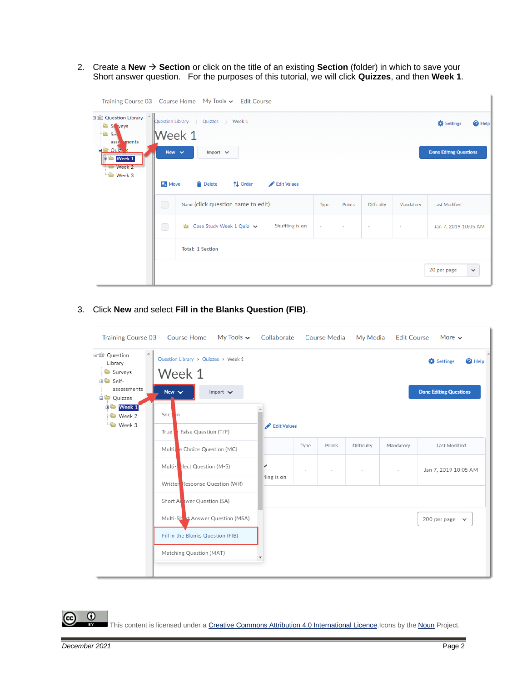2. Create a **New** → **Section** or click on the title of an existing **Section** (folder) in which to save your Short answer question. For the purposes of this tutorial, we will click **Quizzes**, and then **Week 1**.

|                                                                                                                                              |                                                                                                                                        | Training Course 03 Course Home My Tools v Edit Course    |        |                          |                   |                |                                                                |
|----------------------------------------------------------------------------------------------------------------------------------------------|----------------------------------------------------------------------------------------------------------------------------------------|----------------------------------------------------------|--------|--------------------------|-------------------|----------------|----------------------------------------------------------------|
| 日金 Question Library ^<br>St veys<br><sup>t</sup> Sel<br>asse sments<br><b>El Ouiz</b> s<br><b>D</b> Week 1<br><b>Week 2</b><br><b>Week 3</b> | Quizzes > Week 1<br>Question Library ><br>Week 1<br>New $\sim$<br>Import $\vee$<br>$\exists$ Move<br>Delete<br>↑↓ Order<br>Edit Values |                                                          |        |                          |                   |                | Settings<br><sup>O</sup> Help<br><b>Done Editing Questions</b> |
|                                                                                                                                              | $\Box$                                                                                                                                 | Name (click question name to edit)                       | Type   | Points                   | <b>Difficulty</b> | Mandatory      | <b>Last Modified</b>                                           |
|                                                                                                                                              | $\bigcirc$                                                                                                                             | Shuffling is on<br>Case Study Week 1 Quiz $\vee$<br>e en | $\sim$ | $\overline{\phantom{a}}$ | $\sim$            | $\blacksquare$ | Jan 7, 2019 10:05 AM                                           |
|                                                                                                                                              |                                                                                                                                        | <b>Total: 1 Section</b>                                  |        |                          |                   |                |                                                                |
|                                                                                                                                              |                                                                                                                                        |                                                          |        |                          |                   |                | 20 per page<br>$\checkmark$                                    |

3. Click **New** and select **Fill in the Blanks Question (FIB)**.

| <b>Training Course 03</b>                                                                                                             | <b>Course Home</b>                                                                                                              | My Tools $\sim$ | Collaborate     |      | <b>Course Media</b> | My Media   | <b>Edit Course</b>                                          | More $\sim$          |  |
|---------------------------------------------------------------------------------------------------------------------------------------|---------------------------------------------------------------------------------------------------------------------------------|-----------------|-----------------|------|---------------------|------------|-------------------------------------------------------------|----------------------|--|
| <b>□</b> Question<br>Library<br>Surveys<br><b>in</b> Self-<br>assessments<br><b>D</b> Quizzes<br><b>DE Week 1</b><br>Week 2<br>Week 3 | Question Library > Quizzes > Week 1<br>Week 1<br>New $\vee$<br>Sect <sup>1</sup> <sub>n</sub><br>r False Question (T/F)<br>True | Import $\vee$   | Edit Values     |      |                     |            | Settings<br>$\bullet$ Help<br><b>Done Editing Questions</b> |                      |  |
|                                                                                                                                       | Multipe Choice Question (MC)                                                                                                    |                 |                 | Type | Points              | Difficulty | Mandatory                                                   | Last Modified        |  |
|                                                                                                                                       | Multi-select Question (M-S)<br>Writter Response Question (WR)                                                                   |                 | v<br>ling is on |      |                     |            | $\overline{\phantom{a}}$                                    | Jan 7, 2019 10:05 AM |  |
|                                                                                                                                       | Short At wer Question (SA)                                                                                                      |                 |                 |      |                     |            |                                                             |                      |  |
|                                                                                                                                       | Multi-Sh Et Answer Question (MSA)                                                                                               |                 |                 |      |                     |            |                                                             | 200 per page $\sim$  |  |
|                                                                                                                                       | Fill in the Blanks Question (FIB)                                                                                               |                 |                 |      |                     |            |                                                             |                      |  |
|                                                                                                                                       | Matching Question (MAT)                                                                                                         |                 |                 |      |                     |            |                                                             |                      |  |

 $\odot$ (cc This content is licensed under [a Creative Commons Attribution 4.0 International Licence.I](https://creativecommons.org/licenses/by/4.0/)cons by the [Noun](https://creativecommons.org/website-icons/) Project.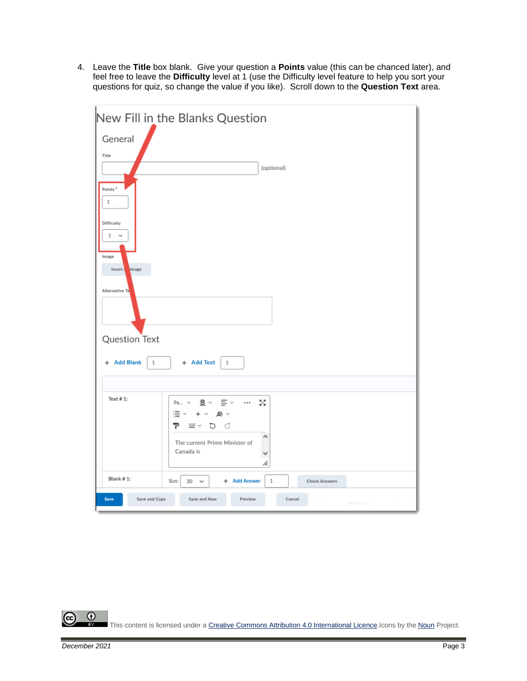4. Leave the **Title** box blank. Give your question a **Points** value (this can be chanced later), and feel free to leave the **Difficulty** level at 1 (use the Difficulty level feature to help you sort your questions for quiz, so change the value if you like). Scroll down to the **Question Text** area.



 $\odot$ This content is licensed under [a Creative Commons Attribution 4.0 International Licence.I](https://creativecommons.org/licenses/by/4.0/)cons by the [Noun](https://creativecommons.org/website-icons/) Project.

r.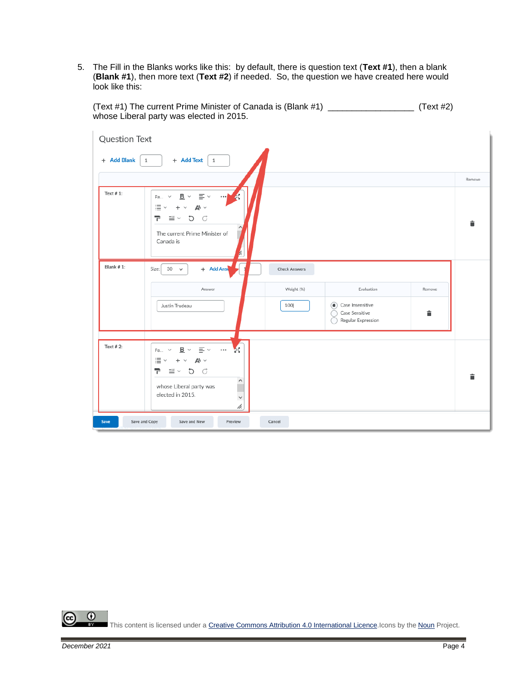5. The Fill in the Blanks works like this: by default, there is question text (**Text #1**), then a blank (**Blank #1**), then more text (**Text #2**) if needed. So, the question we have created here would look like this:

(Text #1) The current Prime Minister of Canada is (Blank #1) \_\_\_\_\_\_\_\_\_\_\_\_\_\_\_\_\_\_ (Text #2) whose Liberal party was elected in 2015.

| <b>Question Text</b>  |                                                                                                                                                                                                |                      |                                                                     |        |        |
|-----------------------|------------------------------------------------------------------------------------------------------------------------------------------------------------------------------------------------|----------------------|---------------------------------------------------------------------|--------|--------|
| + Add Blank           | + Add Text<br>$\mathbf{1}$<br>$1\,$                                                                                                                                                            |                      |                                                                     |        |        |
|                       |                                                                                                                                                                                                |                      |                                                                     |        | Remove |
| Text $# 1$ :          | K<br>$\overline{\mathbf{B}}$<br>$\equiv$ $\sim$<br>Pa<br>$\checkmark$<br>$\checkmark$<br><br>$\equiv$ $\sim$<br>P<br>$\equiv$ $\sim$<br>5C<br>The current Prime Minister of<br>Canada is<br>b. |                      |                                                                     |        | î      |
| Blank #1:             | + Add Ans<br>Size:<br>30<br>$\checkmark$                                                                                                                                                       | <b>Check Answers</b> |                                                                     |        |        |
|                       | Answer                                                                                                                                                                                         | Weight (%)           | Evaluation                                                          | Remove |        |
|                       | Justin Trudeau                                                                                                                                                                                 | 100                  | Case Insensitive<br>$\circ$<br>Case Sensitive<br>Regular Expression | î      |        |
| Text $# 2$ :          |                                                                                                                                                                                                |                      |                                                                     |        |        |
|                       | <b>KA</b><br>$\equiv$ $\sim$<br>$B \sim$<br>$\cdots$<br>Pa<br>$\checkmark$<br>$\equiv$ $\sim$<br>$\mathbb{A}^4$ $\sim$<br>$\ddot{}$<br>$\checkmark$                                            |                      |                                                                     |        |        |
|                       | 구<br>≝∨ ⊅ ○<br>$\sim$<br>whose Liberal party was<br>elected in 2015.<br>$\checkmark$<br>h.                                                                                                     |                      |                                                                     |        | 貪      |
| Save and Copy<br>Save | Save and New<br>Preview                                                                                                                                                                        | Cancel               |                                                                     |        |        |

 $\odot$ This content is licensed under [a Creative Commons Attribution 4.0 International Licence.I](https://creativecommons.org/licenses/by/4.0/)cons by the [Noun](https://creativecommons.org/website-icons/) Project.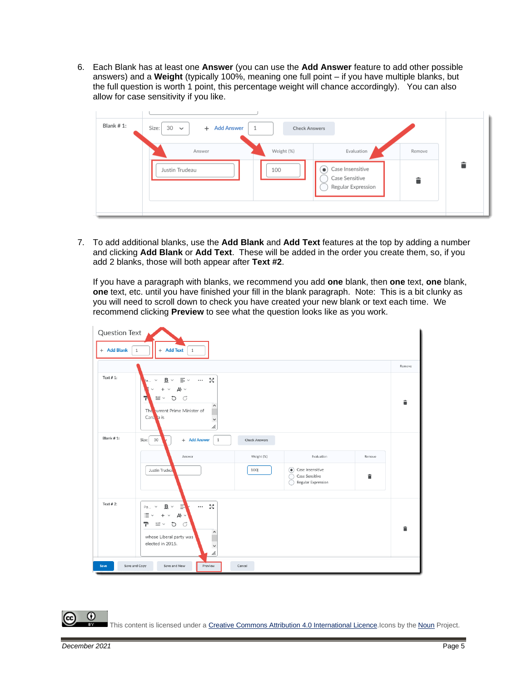6. Each Blank has at least one **Answer** (you can use the **Add Answer** feature to add other possible answers) and a **Weight** (typically 100%, meaning one full point – if you have multiple blanks, but the full question is worth 1 point, this percentage weight will chance accordingly). You can also allow for case sensitivity if you like.



7. To add additional blanks, use the **Add Blank** and **Add Text** features at the top by adding a number and clicking **Add Blank** or **Add Text**. These will be added in the order you create them, so, if you add 2 blanks, those will both appear after **Text #2**.

If you have a paragraph with blanks, we recommend you add **one** blank, then **one** text, **one** blank, **one** text, etc. until you have finished your fill in the blank paragraph. Note: This is a bit clunky as you will need to scroll down to check you have created your new blank or text each time. We recommend clicking **Preview** to see what the question looks like as you work.



⋒ This content is licensed under [a Creative Commons Attribution 4.0 International Licence.I](https://creativecommons.org/licenses/by/4.0/)cons by the [Noun](https://creativecommons.org/website-icons/) Project.